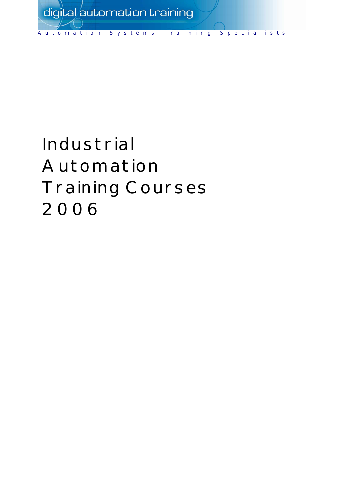

# Industrial Automation Training Courses 2006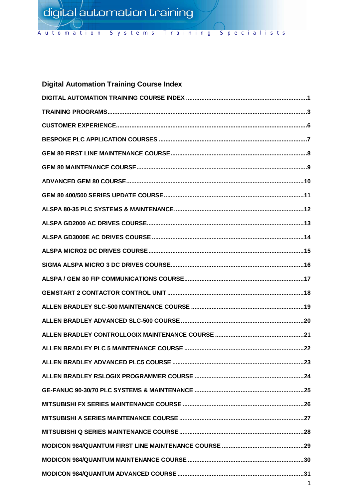Automation Systems Training Specialists

# **Digital Automation Training Course Index**

| 1 |
|---|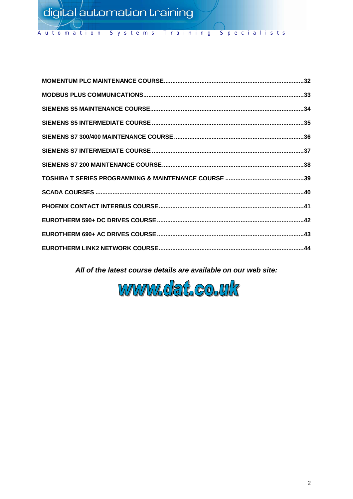Specialists Systems Training Automation

All of the latest course details are available on our web site:

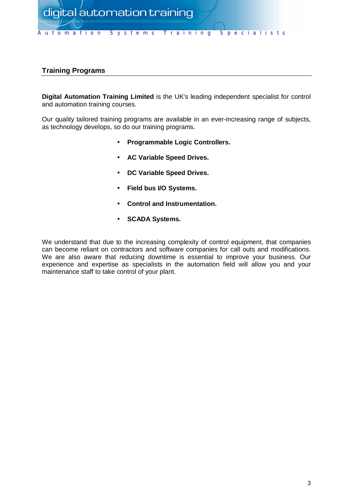

## **Training Programs**

**Digital Automation Training Limited** is the UK's leading independent specialist for control and automation training courses.

Our quality tailored training programs are available in an ever-increasing range of subjects, as technology develops, so do our training programs.

- **Programmable Logic Controllers.**
- **AC Variable Speed Drives.**
- **DC Variable Speed Drives.**
- **Field bus I/O Systems.**
- **Control and Instrumentation.**
- **SCADA Systems.**

We understand that due to the increasing complexity of control equipment, that companies can become reliant on contractors and software companies for call outs and modifications. We are also aware that reducing downtime is essential to improve your business. Our experience and expertise as specialists in the automation field will allow you and your maintenance staff to take control of your plant.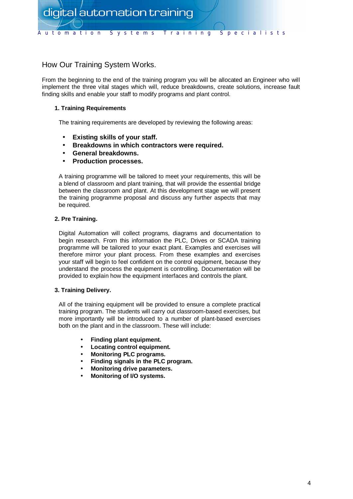

## How Our Training System Works.

From the beginning to the end of the training program you will be allocated an Engineer who will implement the three vital stages which will, reduce breakdowns, create solutions, increase fault finding skills and enable your staff to modify programs and plant control.

## **1. Training Requirements**

The training requirements are developed by reviewing the following areas:

- **Existing skills of your staff.**
- **Breakdowns in which contractors were required.**
- **General breakdowns.**
- **Production processes.**

A training programme will be tailored to meet your requirements, this will be a blend of classroom and plant training, that will provide the essential bridge between the classroom and plant. At this development stage we will present the training programme proposal and discuss any further aspects that may be required.

## **2. Pre Training.**

Digital Automation will collect programs, diagrams and documentation to begin research. From this information the PLC, Drives or SCADA training programme will be tailored to your exact plant. Examples and exercises will therefore mirror your plant process. From these examples and exercises your staff will begin to feel confident on the control equipment, because they understand the process the equipment is controlling. Documentation will be provided to explain how the equipment interfaces and controls the plant.

## **3. Training Delivery.**

All of the training equipment will be provided to ensure a complete practical training program. The students will carry out classroom-based exercises, but more importantly will be introduced to a number of plant-based exercises both on the plant and in the classroom. These will include:

- **Finding plant equipment.**
- **Locating control equipment.**
- **Monitoring PLC programs.**
- **Finding signals in the PLC program.**
- **Monitoring drive parameters.**
- **Monitoring of I/O systems.**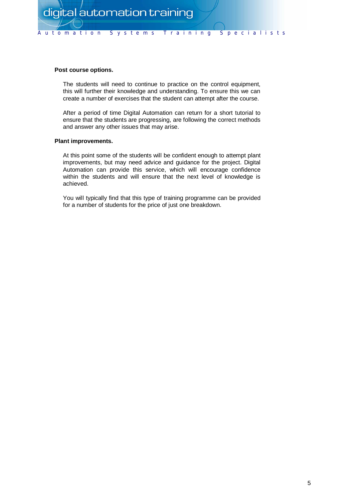## **Post course options.**

The students will need to continue to practice on the control equipment, this will further their knowledge and understanding. To ensure this we can create a number of exercises that the student can attempt after the course.

After a period of time Digital Automation can return for a short tutorial to ensure that the students are progressing, are following the correct methods and answer any other issues that may arise.

#### **Plant improvements.**

At this point some of the students will be confident enough to attempt plant improvements, but may need advice and guidance for the project. Digital Automation can provide this service, which will encourage confidence within the students and will ensure that the next level of knowledge is achieved.

You will typically find that this type of training programme can be provided for a number of students for the price of just one breakdown.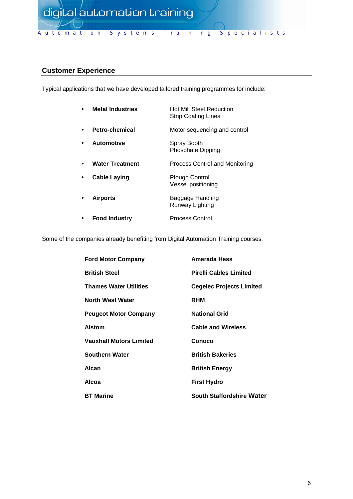

## **Customer Experience**

Typical applications that we have developed tailored training programmes for include:

| <b>Metal Industries</b> | Hot Mill Steel Reduction<br><b>Strip Coating Lines</b> |
|-------------------------|--------------------------------------------------------|
| Petro-chemical          | Motor sequencing and control                           |
| Automotive              | Spray Booth<br>Phosphate Dipping                       |
| <b>Water Treatment</b>  | Process Control and Monitoring                         |
| <b>Cable Laying</b>     | <b>Plough Control</b><br>Vessel positioning            |
| <b>Airports</b>         | Baggage Handling<br>Runway Lighting                    |
| <b>Food Industry</b>    | <b>Process Control</b>                                 |

Some of the companies already benefiting from Digital Automation Training courses:

| <b>Ford Motor Company</b>      | Amerada Hess                     |
|--------------------------------|----------------------------------|
| <b>British Steel</b>           | <b>Pirelli Cables Limited</b>    |
| <b>Thames Water Utilities</b>  | <b>Cegelec Projects Limited</b>  |
| <b>North West Water</b>        | <b>RHM</b>                       |
| <b>Peugeot Motor Company</b>   | <b>National Grid</b>             |
| <b>Alstom</b>                  | <b>Cable and Wireless</b>        |
| <b>Vauxhall Motors Limited</b> | Conoco                           |
| <b>Southern Water</b>          | <b>British Bakeries</b>          |
| Alcan                          | <b>British Energy</b>            |
| Alcoa                          | <b>First Hydro</b>               |
| <b>BT Marine</b>               | <b>South Staffordshire Water</b> |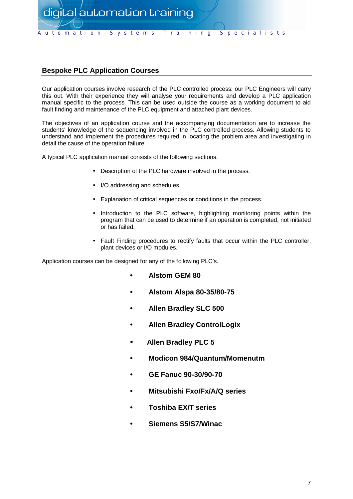

## **Bespoke PLC Application Courses**

Our application courses involve research of the PLC controlled process; our PLC Engineers will carry this out. With their experience they will analyse your requirements and develop a PLC application manual specific to the process. This can be used outside the course as a working document to aid fault finding and maintenance of the PLC equipment and attached plant devices.

The objectives of an application course and the accompanying documentation are to increase the students' knowledge of the sequencing involved in the PLC controlled process. Allowing students to understand and implement the procedures required in locating the problem area and investigating in detail the cause of the operation failure.

A typical PLC application manual consists of the following sections.

- Description of the PLC hardware involved in the process.
- I/O addressing and schedules.
- Explanation of critical sequences or conditions in the process.
- Introduction to the PLC software, highlighting monitoring points within the program that can be used to determine if an operation is completed, not initiated or has failed.
- Fault Finding procedures to rectify faults that occur within the PLC controller, plant devices or I/O modules.

Application courses can be designed for any of the following PLC's.

- **Alstom GEM 80**
- **Alstom Alspa 80-35/80-75**
- **Allen Bradley SLC 500**
- **Allen Bradley ControlLogix**
- **Allen Bradley PLC 5**
- **Modicon 984/Quantum/Momenutm**
- **GE Fanuc 90-30/90-70**
- **Mitsubishi Fxo/Fx/A/Q series**
- **Toshiba EX/T series**
- **Siemens S5/S7/Winac**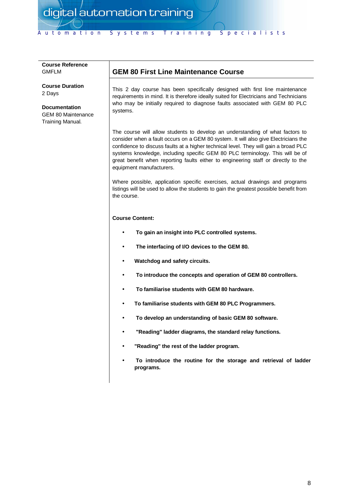Automation Systems Training Specialists

## **Course Reference** GMFLM

**Course Duration** 2 Days

**Documentation** GEM 80 Maintenance Training Manual.

## **GEM 80 First Line Maintenance Course**

This 2 day course has been specifically designed with first line maintenance requirements in mind. It is therefore ideally suited for Electricians and Technicians who may be initially required to diagnose faults associated with GEM 80 PLC systems.

The course will allow students to develop an understanding of what factors to consider when a fault occurs on a GEM 80 system. It will also give Electricians the confidence to discuss faults at a higher technical level. They will gain a broad PLC systems knowledge, including specific GEM 80 PLC terminology. This will be of great benefit when reporting faults either to engineering staff or directly to the equipment manufacturers.

Where possible, application specific exercises, actual drawings and programs listings will be used to allow the students to gain the greatest possible benefit from the course.

- **To gain an insight into PLC controlled systems.**
- • **The interfacing of I/O devices to the GEM 80.**
- **Watchdog and safety circuits.**
- • **To introduce the concepts and operation of GEM 80 controllers.**
- • **To familiarise students with GEM 80 hardware.**
- **To familiarise students with GEM 80 PLC Programmers.**
- • **To develop an understanding of basic GEM 80 software.**
- • **"Reading" ladder diagrams, the standard relay functions.**
- **"Reading" the rest of the ladder program.**
- • **To introduce the routine for the storage and retrieval of ladder programs.**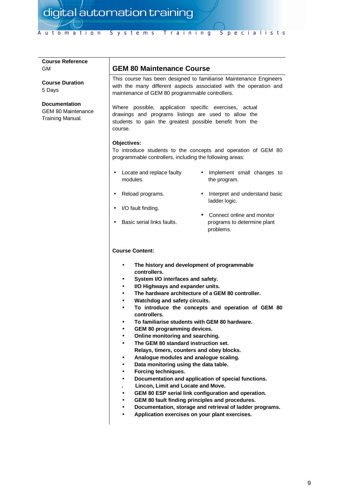# Automation Systems Training Specialists

| <b>Course Reference</b><br><b>GM</b>                                  | <b>GEM 80 Maintenance Course</b>                                                                                                                                                                                                                                                                                                                                                                                                                                                                                                                                                                                                                                                                                                                                                                                                                                                                                                                                                                                                                                                                                                                                  |  |
|-----------------------------------------------------------------------|-------------------------------------------------------------------------------------------------------------------------------------------------------------------------------------------------------------------------------------------------------------------------------------------------------------------------------------------------------------------------------------------------------------------------------------------------------------------------------------------------------------------------------------------------------------------------------------------------------------------------------------------------------------------------------------------------------------------------------------------------------------------------------------------------------------------------------------------------------------------------------------------------------------------------------------------------------------------------------------------------------------------------------------------------------------------------------------------------------------------------------------------------------------------|--|
| <b>Course Duration</b><br>5 Days                                      | This course has been designed to familiarise Maintenance Engineers<br>with the many different aspects associated with the operation and<br>maintenance of GEM 80 programmable controllers.                                                                                                                                                                                                                                                                                                                                                                                                                                                                                                                                                                                                                                                                                                                                                                                                                                                                                                                                                                        |  |
| <b>Documentation</b><br><b>GEM 80 Maintenance</b><br>Training Manual. | Where possible, application specific exercises, actual<br>drawings and programs listings are used to allow the<br>students to gain the greatest possible benefit from the<br>course.                                                                                                                                                                                                                                                                                                                                                                                                                                                                                                                                                                                                                                                                                                                                                                                                                                                                                                                                                                              |  |
|                                                                       | Objectives:<br>To introduce students to the concepts and operation of GEM 80<br>programmable controllers, including the following areas:                                                                                                                                                                                                                                                                                                                                                                                                                                                                                                                                                                                                                                                                                                                                                                                                                                                                                                                                                                                                                          |  |
|                                                                       | Locate and replace faulty<br>• Implement small changes to<br>$\bullet$<br>modules.<br>the program.                                                                                                                                                                                                                                                                                                                                                                                                                                                                                                                                                                                                                                                                                                                                                                                                                                                                                                                                                                                                                                                                |  |
|                                                                       | Reload programs.<br>• Interpret and understand basic<br>$\bullet$<br>ladder logic.                                                                                                                                                                                                                                                                                                                                                                                                                                                                                                                                                                                                                                                                                                                                                                                                                                                                                                                                                                                                                                                                                |  |
|                                                                       | I/O fault finding.<br>$\bullet$<br>• Connect online and monitor<br>Basic serial links faults.<br>programs to determine plant<br>$\bullet$<br>problems.                                                                                                                                                                                                                                                                                                                                                                                                                                                                                                                                                                                                                                                                                                                                                                                                                                                                                                                                                                                                            |  |
|                                                                       | <b>Course Content:</b><br>The history and development of programmable<br>$\bullet$<br>controllers.<br>System I/O interfaces and safety.<br>$\bullet$<br>I/O Highways and expander units.<br>$\bullet$<br>The hardware architecture of a GEM 80 controller.<br>$\bullet$<br>Watchdog and safety circuits.<br>$\bullet$<br>To introduce the concepts and operation of GEM 80<br>$\bullet$<br>controllers.<br>To familiarise students with GEM 80 hardware.<br>٠<br>GEM 80 programming devices.<br>Online monitoring and searching.<br>$\bullet$<br>The GEM 80 standard instruction set.<br>$\bullet$<br>Relays, timers, counters and obey blocks.<br>Analogue modules and analogue scaling.<br>٠<br>Data monitoring using the data table.<br>$\bullet$<br>Forcing techniques.<br>$\bullet$<br>Documentation and application of special functions.<br>$\bullet$<br>Lincon, Limit and Locate and Move.<br>GEM 80 ESP serial link configuration and operation.<br>$\bullet$<br>GEM 80 fault finding principles and procedures.<br>$\bullet$<br>Documentation, storage and retrieval of ladder programs.<br>Application exercises on your plant exercises.<br>$\bullet$ |  |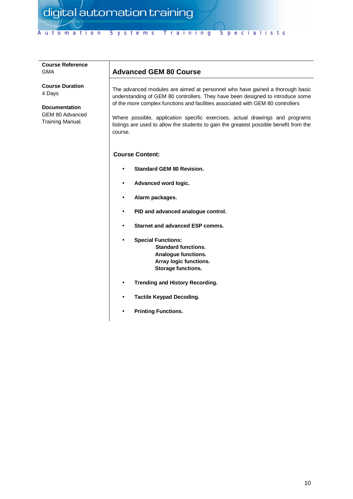| <b>Course Reference</b><br>GMA                                                                         | <b>Advanced GEM 80 Course</b>                                                                                                                                                                                                                                                                                                                                                                                                          |  |
|--------------------------------------------------------------------------------------------------------|----------------------------------------------------------------------------------------------------------------------------------------------------------------------------------------------------------------------------------------------------------------------------------------------------------------------------------------------------------------------------------------------------------------------------------------|--|
| <b>Course Duration</b><br>4 Days<br><b>Documentation</b><br><b>GEM 80 Advanced</b><br>Training Manual. | The advanced modules are aimed at personnel who have gained a thorough basic<br>understanding of GEM 80 controllers. They have been designed to introduce some<br>of the more complex functions and facilities associated with GEM 80 controllers<br>Where possible, application specific exercises, actual drawings and programs<br>listings are used to allow the students to gain the greatest possible benefit from the<br>course. |  |
|                                                                                                        | <b>Course Content:</b>                                                                                                                                                                                                                                                                                                                                                                                                                 |  |
|                                                                                                        | <b>Standard GEM 80 Revision.</b>                                                                                                                                                                                                                                                                                                                                                                                                       |  |
|                                                                                                        | Advanced word logic.                                                                                                                                                                                                                                                                                                                                                                                                                   |  |
|                                                                                                        | Alarm packages.<br>$\bullet$                                                                                                                                                                                                                                                                                                                                                                                                           |  |
|                                                                                                        | PID and advanced analogue control.<br>$\bullet$                                                                                                                                                                                                                                                                                                                                                                                        |  |
|                                                                                                        | Starnet and advanced ESP comms.<br>$\bullet$                                                                                                                                                                                                                                                                                                                                                                                           |  |
|                                                                                                        | <b>Special Functions:</b><br>$\bullet$<br><b>Standard functions.</b><br>Analogue functions.<br>Array logic functions.<br><b>Storage functions.</b>                                                                                                                                                                                                                                                                                     |  |

- **Trending and History Recording.**
- **Tactile Keypad Decoding.**
- **Printing Functions.**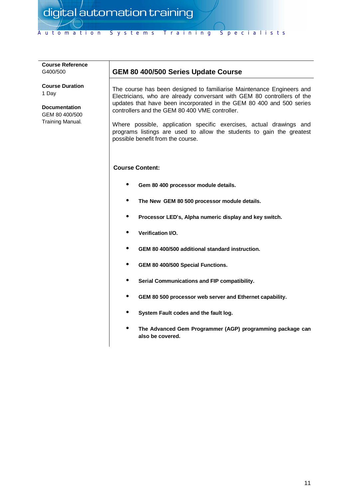| G400/500                                                                                      | <b>GEM 80 400/500 Series U</b>                                                                                                                                                                                                         |
|-----------------------------------------------------------------------------------------------|----------------------------------------------------------------------------------------------------------------------------------------------------------------------------------------------------------------------------------------|
| <b>Course Duration</b><br>1 Day<br><b>Documentation</b><br>GEM 80 400/500<br>Training Manual. | The course has been designed<br>Electricians, who are already o<br>updates that have been incorp<br>controllers and the GEM 80 400<br>Where possible, application<br>programs listings are used to<br>possible benefit from the course |
|                                                                                               | <b>Course Content:</b>                                                                                                                                                                                                                 |
|                                                                                               | Gem 80 400 processor                                                                                                                                                                                                                   |
|                                                                                               | The New GEM 80 500                                                                                                                                                                                                                     |
|                                                                                               | Processor LED's, Alph                                                                                                                                                                                                                  |
|                                                                                               | <b>Verification I/O.</b>                                                                                                                                                                                                               |
|                                                                                               | <b>GEM 80 400/500 additional</b>                                                                                                                                                                                                       |
|                                                                                               | GEM 80 400/500 Specia                                                                                                                                                                                                                  |
|                                                                                               | Sarial Cammunication                                                                                                                                                                                                                   |

**Course Reference**

## **Jpdate Course**

to familiarise Maintenance Engineers and conversant with GEM 80 controllers of the orated in the GEM 80 400 and 500 series VME controller.

specific exercises, actual drawings and allow the students to gain the greatest possible benefit from the course.

- module details.
- **The New GEM 80 500 processor module details.**
- **Processor LED¶s, Alpha numeric display and key switch.**
- **onal standard instruction.**
- **al Functions.**
- **Serial Communications and FIP compatibility.**
- **GEM 80 500 processor web server and Ethernet capability.**
- **System Fault codes and the fault log.**
- **The Advanced Gem Programmer (AGP) programming package can also be covered.**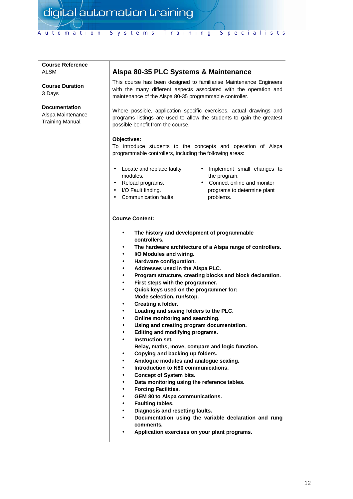## **Course Reference** ALSM

**Course Duration** 3 Days

#### **Documentation**

Alspa Maintenance Training Manual.

## **Alspa 80-35 PLC Systems & Maintenance**

This course has been designed to familiarise Maintenance Engineers with the many different aspects associated with the operation and maintenance of the Alspa 80-35 programmable controller.

Where possible, application specific exercises, actual drawings and programs listings are used to allow the students to gain the greatest possible benefit from the course.

#### **Objectives:**

To introduce students to the concepts and operation of Alspa programmable controllers, including the following areas:

- Locate and replace faulty modules.
- Reload programs.
- I/O Fault finding.
- Communication faults.
- Implement small changes to the program.
- Connect online and monitor programs to determine plant problems.

- **The history and development of programmable controllers.**
- **The hardware architecture of a Alspa range of controllers.**
- **I/O Modules and wiring.**
- **Hardware configuration.**
- **Addresses used in the Alspa PLC.**
- **Program structure, creating blocks and block declaration.**
- **First steps with the programmer.**
- **Quick keys used on the programmer for: Mode selection, run/stop.**
- **Creating a folder.**
- **Loading and saving folders to the PLC.**
- **Online monitoring and searching.**
- **Using and creating program documentation.**
- **Editing and modifying programs.**
- **Instruction set.**
	- **Relay, maths, move, compare and logic function.**
- **Copying and backing up folders.**
- **Analogue modules and analogue scaling.**
- **Introduction to N80 communications.**
- **Concept of System bits.**
- **Data monitoring using the reference tables.**
- **Forcing Facilities.**
- **GEM 80 to Alspa communications.**
- **Faulting tables.**
- **Diagnosis and resetting faults.**
- **Documentation using the variable declaration and rung comments.**
- **Application exercises on your plant programs.**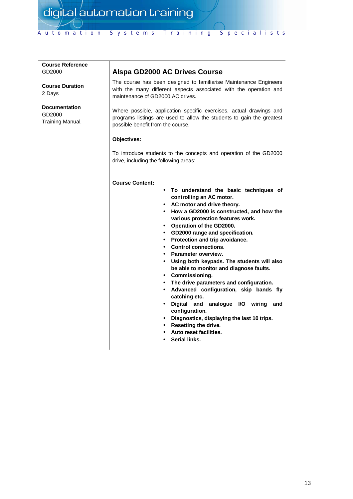## **Course Reference** GD2000

**Course Duration** 2 Days

**Documentation** GD2000 Training Manual.

## **Alspa GD2000 AC Drives Course**

The course has been designed to familiarise Maintenance Engineers with the many different aspects associated with the operation and maintenance of GD2000 AC drives.

Where possible, application specific exercises, actual drawings and programs listings are used to allow the students to gain the greatest possible benefit from the course.

#### **Objectives:**

To introduce students to the concepts and operation of the GD2000 drive, including the following areas:

- **To understand the basic techniques of controlling an AC motor.**
- **AC motor and drive theory.**
- **How a GD2000 is constructed, and how the various protection features work.**
- **Operation of the GD2000.**
- **GD2000 range and specification.**
- **Protection and trip avoidance.**
- **Control connections.**
- **Parameter overview.**
- **Using both keypads. The students will also be able to monitor and diagnose faults.**
- **Commissioning.**
- **The drive parameters and configuration.**
- **Advanced configuration, skip bands fly catching etc.**
- **Digital and analogue I/O wiring and configuration.**
- **Diagnostics, displaying the last 10 trips.**
- **Resetting the drive.**
- **Auto reset facilities.**
- **Serial links.**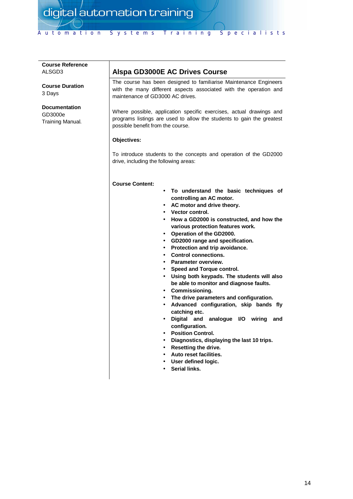#### **Course Reference** ALSGD3

**Course Duration** 3 Days

#### **Documentation** GD3000e Training Manual.

## **Alspa GD3000E AC Drives Course**

The course has been designed to familiarise Maintenance Engineers with the many different aspects associated with the operation and maintenance of GD3000 AC drives.

Where possible, application specific exercises, actual drawings and programs listings are used to allow the students to gain the greatest possible benefit from the course.

#### **Objectives:**

To introduce students to the concepts and operation of the GD2000 drive, including the following areas:

- **To understand the basic techniques of controlling an AC motor.**
- **AC motor and drive theory.**
- **Vector control.**
- **How a GD2000 is constructed, and how the various protection features work.**
- **Operation of the GD2000.**
- **GD2000 range and specification.**
- **Protection and trip avoidance.**
- **Control connections.**
- **Parameter overview.**
- **Speed and Torque control.**
- **Using both keypads. The students will also be able to monitor and diagnose faults.**
- **Commissioning.**
- **The drive parameters and configuration.**
- **Advanced configuration, skip bands fly catching etc.**
- **Digital and analogue I/O wiring and configuration.**
- **Position Control.**
- **Diagnostics, displaying the last 10 trips.**
- **Resetting the drive.**
- **Auto reset facilities.**
- **User defined logic.**
- **Serial links.**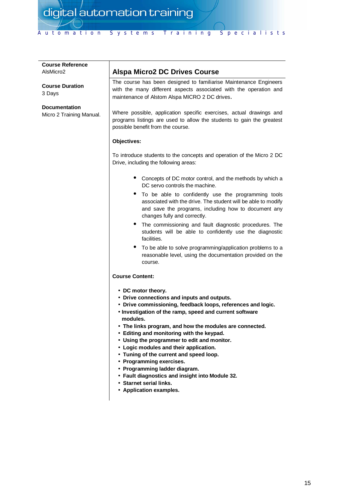| <b>Course Reference</b><br>AlsMicro2             | <b>Alspa Micro2 DC Drives Course</b>                                                                                                                                                                                                                                                                                                                                                                                                                                                                                                                                                                                       |
|--------------------------------------------------|----------------------------------------------------------------------------------------------------------------------------------------------------------------------------------------------------------------------------------------------------------------------------------------------------------------------------------------------------------------------------------------------------------------------------------------------------------------------------------------------------------------------------------------------------------------------------------------------------------------------------|
| <b>Course Duration</b><br>3 Days                 | The course has been designed to familiarise Maintenance Engineers<br>with the many different aspects associated with the operation and<br>maintenance of Alstom Alspa MICRO 2 DC drives.                                                                                                                                                                                                                                                                                                                                                                                                                                   |
| <b>Documentation</b><br>Micro 2 Training Manual. | Where possible, application specific exercises, actual drawings and<br>programs listings are used to allow the students to gain the greatest<br>possible benefit from the course.                                                                                                                                                                                                                                                                                                                                                                                                                                          |
|                                                  | Objectives:                                                                                                                                                                                                                                                                                                                                                                                                                                                                                                                                                                                                                |
|                                                  | To introduce students to the concepts and operation of the Micro 2 DC<br>Drive, including the following areas:                                                                                                                                                                                                                                                                                                                                                                                                                                                                                                             |
|                                                  | Concepts of DC motor control, and the methods by which a<br>DC servo controls the machine.                                                                                                                                                                                                                                                                                                                                                                                                                                                                                                                                 |
|                                                  | To be able to confidently use the programming tools<br>associated with the drive. The student will be able to modify<br>and save the programs, including how to document any<br>changes fully and correctly.                                                                                                                                                                                                                                                                                                                                                                                                               |
|                                                  | The commissioning and fault diagnostic procedures. The<br>students will be able to confidently use the diagnostic<br>facilities.                                                                                                                                                                                                                                                                                                                                                                                                                                                                                           |
|                                                  | To be able to solve programming/application problems to a<br>reasonable level, using the documentation provided on the<br>course.                                                                                                                                                                                                                                                                                                                                                                                                                                                                                          |
|                                                  | <b>Course Content:</b>                                                                                                                                                                                                                                                                                                                                                                                                                                                                                                                                                                                                     |
|                                                  | • DC motor theory.<br>• Drive connections and inputs and outputs.<br>• Drive commissioning, feedback loops, references and logic.<br>• Investigation of the ramp, speed and current software<br>modules.<br>• The links program, and how the modules are connected.<br>• Editing and monitoring with the keypad.<br>• Using the programmer to edit and monitor.<br>• Logic modules and their application.<br>• Tuning of the current and speed loop.<br>• Programming exercises.<br>• Programming ladder diagram.<br>• Fault diagnostics and insight into Module 32.<br>• Starnet serial links.<br>• Application examples. |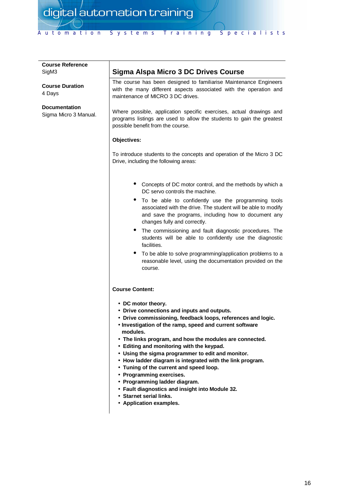| <b>Course Reference</b>                       |                                                                                                                                                                                                                                                                                                                                                                                                                                                                                                                                                                                                                                                     |
|-----------------------------------------------|-----------------------------------------------------------------------------------------------------------------------------------------------------------------------------------------------------------------------------------------------------------------------------------------------------------------------------------------------------------------------------------------------------------------------------------------------------------------------------------------------------------------------------------------------------------------------------------------------------------------------------------------------------|
| SigM3                                         | Sigma Alspa Micro 3 DC Drives Course                                                                                                                                                                                                                                                                                                                                                                                                                                                                                                                                                                                                                |
| <b>Course Duration</b><br>4 Days              | The course has been designed to familiarise Maintenance Engineers<br>with the many different aspects associated with the operation and<br>maintenance of MICRO 3 DC drives.                                                                                                                                                                                                                                                                                                                                                                                                                                                                         |
| <b>Documentation</b><br>Sigma Micro 3 Manual. | Where possible, application specific exercises, actual drawings and<br>programs listings are used to allow the students to gain the greatest<br>possible benefit from the course.                                                                                                                                                                                                                                                                                                                                                                                                                                                                   |
|                                               | Objectives:                                                                                                                                                                                                                                                                                                                                                                                                                                                                                                                                                                                                                                         |
|                                               | To introduce students to the concepts and operation of the Micro 3 DC<br>Drive, including the following areas:                                                                                                                                                                                                                                                                                                                                                                                                                                                                                                                                      |
|                                               | • Concepts of DC motor control, and the methods by which a<br>DC servo controls the machine.                                                                                                                                                                                                                                                                                                                                                                                                                                                                                                                                                        |
|                                               | To be able to confidently use the programming tools<br>associated with the drive. The student will be able to modify<br>and save the programs, including how to document any<br>changes fully and correctly.                                                                                                                                                                                                                                                                                                                                                                                                                                        |
|                                               | The commissioning and fault diagnostic procedures. The<br>students will be able to confidently use the diagnostic<br>facilities.                                                                                                                                                                                                                                                                                                                                                                                                                                                                                                                    |
|                                               | To be able to solve programming/application problems to a<br>reasonable level, using the documentation provided on the<br>course.                                                                                                                                                                                                                                                                                                                                                                                                                                                                                                                   |
|                                               | <b>Course Content:</b>                                                                                                                                                                                                                                                                                                                                                                                                                                                                                                                                                                                                                              |
|                                               | • DC motor theory.<br>• Drive connections and inputs and outputs.<br>• Drive commissioning, feedback loops, references and logic.<br>• Investigation of the ramp, speed and current software<br>modules.<br>• The links program, and how the modules are connected.<br>• Editing and monitoring with the keypad.<br>• Using the sigma programmer to edit and monitor.<br>• How ladder diagram is integrated with the link program.<br>• Tuning of the current and speed loop.<br>• Programming exercises.<br>• Programming ladder diagram.<br>• Fault diagnostics and insight into Module 32.<br>• Starnet serial links.<br>• Application examples. |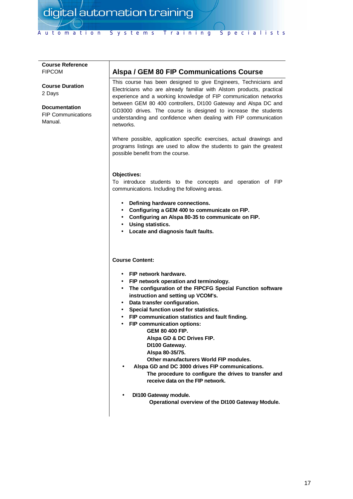#### **Course Reference** FIPCOM

**Course Duration** 2 Days

**Documentation** FIP Communications Manual.

## **Alspa / GEM 80 FIP Communications Course**

This course has been designed to give Engineers, Technicians and Electricians who are already familiar with Alstom products, practical experience and a working knowledge of FIP communication networks between GEM 80 400 controllers, DI100 Gateway and Alspa DC and GD3000 drives. The course is designed to increase the students understanding and confidence when dealing with FIP communication networks.

Where possible, application specific exercises, actual drawings and programs listings are used to allow the students to gain the greatest possible benefit from the course.

#### **Objectives:**

To introduce students to the concepts and operation of FIP communications. Including the following areas.

- **Defining hardware connections.**
- **Configuring a GEM 400 to communicate on FIP.**
- **Configuring an Alspa 80-35 to communicate on FIP.**
- **Using statistics.**
- **Locate and diagnosis fault faults.**

#### **Course Content:**

- **FIP network hardware.**
- **FIP network operation and terminology.**
- **The configuration of the FIPCFG Special Function software instruction and setting up VCOM's.**
- **Data transfer configuration.**
- **Special function used for statistics.**
- **FIP communication statistics and fault finding.**
- **FIP communication options:**
	- **GEM 80 400 FIP.**
		- **Alspa GD & DC Drives FIP.**
		- **DI100 Gateway.**
		- **Alspa 80-35/75.**

**Other manufacturers World FIP modules.**

- **Alspa GD and DC 3000 drives FIP communications. The procedure to configure the drives to transfer and receive data on the FIP network.**
- **DI100 Gateway module.**

**Operational overview of the DI100 Gateway Module.**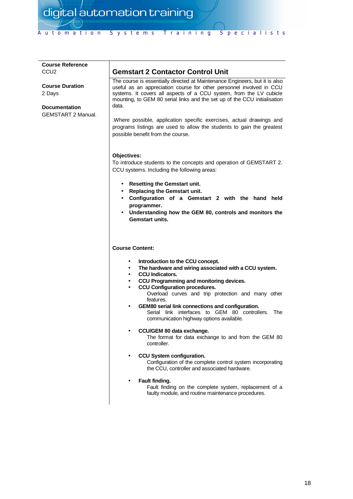| <b>Course Reference</b>                                                               |                                                                                                                                                                                                                                                                                                                                                                                                                                                                                                        |
|---------------------------------------------------------------------------------------|--------------------------------------------------------------------------------------------------------------------------------------------------------------------------------------------------------------------------------------------------------------------------------------------------------------------------------------------------------------------------------------------------------------------------------------------------------------------------------------------------------|
| CCU <sub>2</sub>                                                                      | <b>Gemstart 2 Contactor Control Unit</b>                                                                                                                                                                                                                                                                                                                                                                                                                                                               |
| <b>Course Duration</b><br>2 Days<br><b>Documentation</b><br><b>GEMSTART 2 Manual.</b> | The course is essentially directed at Maintenance Engineers, but it is also<br>useful as an appreciation course for other personnel involved in CCU<br>systems. It covers all aspects of a CCU system, from the LV cubicle<br>mounting, to GEM 80 serial links and the set up of the CCU initialisation<br>data.<br>.Where possible, application specific exercises, actual drawings and<br>programs listings are used to allow the students to gain the greatest<br>possible benefit from the course. |
|                                                                                       | Objectives:<br>To introduce students to the concepts and operation of GEMSTART 2.<br>CCU systems. Including the following areas:<br>• Resetting the Gemstart unit.<br>• Replacing the Gemstart unit.<br>• Configuration of a Gemstart 2 with the hand held<br>programmer.<br>• Understanding how the GEM 80, controls and monitors the<br><b>Gemstart units.</b>                                                                                                                                       |
|                                                                                       | <b>Course Content:</b><br>Introduction to the CCU concept.<br>$\bullet$                                                                                                                                                                                                                                                                                                                                                                                                                                |
|                                                                                       | The hardware and wiring associated with a CCU system.<br>$\bullet$<br><b>CCU</b> Indicators.<br>$\bullet$                                                                                                                                                                                                                                                                                                                                                                                              |
|                                                                                       | CCU Programming and monitoring devices.<br>$\bullet$                                                                                                                                                                                                                                                                                                                                                                                                                                                   |
|                                                                                       | <b>CCU Configuration procedures.</b><br>$\bullet$<br>Overload curves and trip protection and many other<br>features.<br>GEM80 serial link connections and configuration.<br>Serial link interfaces to GEM 80 controllers.<br>The                                                                                                                                                                                                                                                                       |
|                                                                                       | communication highway options available.                                                                                                                                                                                                                                                                                                                                                                                                                                                               |
|                                                                                       | CCU/GEM 80 data exchange.<br>The format for data exchange to and from the GEM 80<br>controller.                                                                                                                                                                                                                                                                                                                                                                                                        |
|                                                                                       | CCU System configuration.<br>Configuration of the complete control system incorporating<br>the CCU, controller and associated hardware.                                                                                                                                                                                                                                                                                                                                                                |
|                                                                                       | Fault finding.<br>Fault finding on the complete system, replacement of a<br>faulty module, and routine maintenance procedures.                                                                                                                                                                                                                                                                                                                                                                         |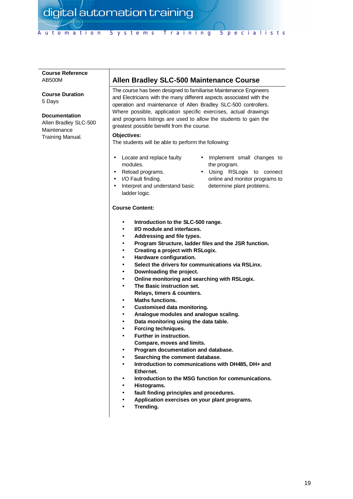#### **Course Reference** AB500M

**Course Duration** 5 Days

#### **Documentation**

Allen Bradley SLC-500 **Maintenance** Training Manual.

## **Allen Bradley SLC-500 Maintenance Course**

The course has been designed to familiarise Maintenance Engineers and Electricians with the many different aspects associated with the operation and maintenance of Allen Bradley SLC-500 controllers. Where possible, application specific exercises, actual drawings and programs listings are used to allow the students to gain the greatest possible benefit from the course.

#### **Objectives:**

The students will be able to perform the following:

- Locate and replace faulty modules.
- Reload programs.
- I/O Fault finding.
- Interpret and understand basic ladder logic.
- Implement small changes to the program.
- Using RSLogix to connect online and monitor programs to determine plant problems.

- **Introduction to the SLC-500 range.**
- **I/O module and interfaces.**
- **Addressing and file types.**
- **Program Structure, ladder files and the JSR function.**
- **Creating a project with RSLogix.**
- **Hardware configuration.**
- **Select the drivers for communications via RSLinx.**
- **Downloading the project.**
- **Online monitoring and searching with RSLogix.**
- **The Basic instruction set.**
- **Relays, timers & counters.**
- **Maths functions.**
- **Customised data monitoring.**
- **Analogue modules and analogue scaling.**
- **Data monitoring using the data table.**
- **Forcing techniques.**
- **Further in instruction.**
- **Compare, moves and limits.**
- **Program documentation and database.**
- **Searching the comment database.**
- **Introduction to communications with DH485, DH+ and Ethernet.**
- **Introduction to the MSG function for communications.**
- **Histograms.**
- **fault finding principles and procedures.**
- **Application exercises on your plant programs.**
- **Trending.**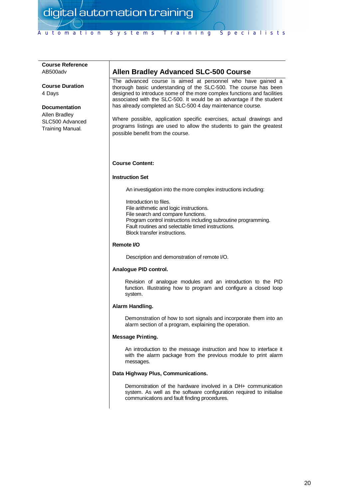## **Course Reference** AB500adv

**Course Duration** 4 Days

#### **Documentation**

Allen Bradley SLC500 Advanced Training Manual.

## **Allen Bradley Advanced SLC-500 Course**

The advanced course is aimed at personnel who have gained a thorough basic understanding of the SLC-500. The course has been designed to introduce some of the more complex functions and facilities associated with the SLC-500. It would be an advantage if the student has already completed an SLC-500 4 day maintenance course.

Where possible, application specific exercises, actual drawings and programs listings are used to allow the students to gain the greatest possible benefit from the course.

#### **Course Content:**

#### **Instruction Set**

An investigation into the more complex instructions including:

Introduction to files. File arithmetic and logic instructions. File search and compare functions. Program control instructions including subroutine programming. Fault routines and selectable timed instructions. Block transfer instructions.

#### **Remote I/O**

Description and demonstration of remote I/O.

#### **Analogue PID control.**

Revision of analogue modules and an introduction to the PID function. Illustrating how to program and configure a closed loop system.

#### **Alarm Handling.**

Demonstration of how to sort signals and incorporate them into an alarm section of a program, explaining the operation.

#### **Message Printing.**

An introduction to the message instruction and how to interface it with the alarm package from the previous module to print alarm messages.

#### **Data Highway Plus, Communications.**

Demonstration of the hardware involved in a DH+ communication system. As well as the software configuration required to initialise communications and fault finding procedures.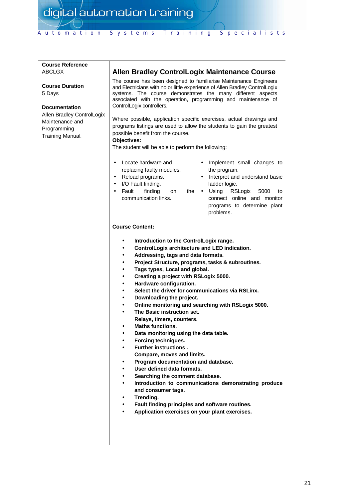| <b>Course Reference</b><br><b>ABCLGX</b>                                                                                                     | <b>Allen Bradley ControlLogix Maintenance Course</b>                                                                                                                                                                                                                                                                                                                                                                                                                                                                                                                                                                                                                                                                                                                                                                                                                                                                                                                                                                                                                                                                                                                                                                                                          |  |
|----------------------------------------------------------------------------------------------------------------------------------------------|---------------------------------------------------------------------------------------------------------------------------------------------------------------------------------------------------------------------------------------------------------------------------------------------------------------------------------------------------------------------------------------------------------------------------------------------------------------------------------------------------------------------------------------------------------------------------------------------------------------------------------------------------------------------------------------------------------------------------------------------------------------------------------------------------------------------------------------------------------------------------------------------------------------------------------------------------------------------------------------------------------------------------------------------------------------------------------------------------------------------------------------------------------------------------------------------------------------------------------------------------------------|--|
| <b>Course Duration</b><br>5 Days<br><b>Documentation</b><br>Allen Bradley ControlLogix<br>Maintenance and<br>Programming<br>Training Manual. | The course has been designed to familiarise Maintenance Engineers<br>and Electricians with no or little experience of Allen Bradley ControlLogix<br>systems. The course demonstrates the many different aspects<br>associated with the operation, programming and maintenance of<br>ControlLogix controllers.<br>Where possible, application specific exercises, actual drawings and<br>programs listings are used to allow the students to gain the greatest<br>possible benefit from the course.<br>Objectives:<br>The student will be able to perform the following:                                                                                                                                                                                                                                                                                                                                                                                                                                                                                                                                                                                                                                                                                       |  |
|                                                                                                                                              | Locate hardware and<br>Implement small changes to<br>$\bullet$<br>replacing faulty modules.<br>the program.<br>Interpret and understand basic<br>Reload programs.<br>$\bullet$<br>I/O Fault finding.<br>ladder logic.<br>$\bullet$<br>Fault<br>finding<br>Using RSLogix<br>the<br>5000<br>on<br>to<br>$\bullet$<br>$\bullet$<br>communication links.<br>connect online and monitor<br>programs to determine plant<br>problems.                                                                                                                                                                                                                                                                                                                                                                                                                                                                                                                                                                                                                                                                                                                                                                                                                                |  |
|                                                                                                                                              | <b>Course Content:</b><br>Introduction to the ControlLogix range.<br>٠<br>ControlLogix architecture and LED indication.<br>$\bullet$<br>Addressing, tags and data formats.<br>$\bullet$<br>Project Structure, programs, tasks & subroutines.<br>$\bullet$<br>Tags types, Local and global.<br>$\bullet$<br>Creating a project with RSLogix 5000.<br>$\bullet$<br>Hardware configuration.<br>$\bullet$<br>Select the driver for communications via RSLinx.<br>$\bullet$<br>Downloading the project.<br>$\bullet$<br>Online monitoring and searching with RSLogix 5000.<br>$\bullet$<br>The Basic instruction set.<br>$\bullet$<br>Relays, timers, counters.<br><b>Maths functions.</b><br>Data monitoring using the data table.<br>$\bullet$<br>Forcing techniques.<br>$\bullet$<br><b>Further instructions.</b><br>$\bullet$<br>Compare, moves and limits.<br>Program documentation and database.<br>$\bullet$<br>User defined data formats.<br>$\bullet$<br>Searching the comment database.<br>$\bullet$<br>Introduction to communications demonstrating produce<br>$\bullet$<br>and consumer tags.<br>Trending.<br>$\bullet$<br>Fault finding principles and software routines.<br>$\bullet$<br>Application exercises on your plant exercises.<br>$\bullet$ |  |
|                                                                                                                                              |                                                                                                                                                                                                                                                                                                                                                                                                                                                                                                                                                                                                                                                                                                                                                                                                                                                                                                                                                                                                                                                                                                                                                                                                                                                               |  |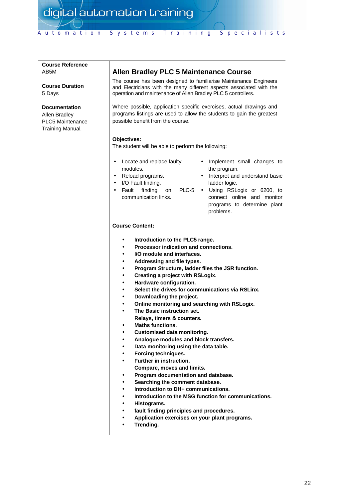#### **Course Reference** AB5M

**Course Duration** 5 Days

#### **Documentation**

Allen Bradley PLC5 Maintenance Training Manual.

## **Allen Bradley PLC 5 Maintenance Course**

The course has been designed to familiarise Maintenance Engineers and Electricians with the many different aspects associated with the operation and maintenance of Allen Bradley PLC 5 controllers.

Where possible, application specific exercises, actual drawings and programs listings are used to allow the students to gain the greatest possible benefit from the course.

#### **Objectives:**

The student will be able to perform the following:

- Locate and replace faulty modules.
- Reload programs.
- I/O Fault finding.
- $\bullet$  Fault finding on communication links.
- Implement small changes to the program.
- Interpret and understand basic ladder logic.
- PLC-5 Using RSLogix or 6200, to connect online and monitor programs to determine plant problems.

- **Introduction to the PLC5 range.**
- **Processor indication and connections.**
- **I/O module and interfaces.**
- **Addressing and file types.**
- **Program Structure, ladder files the JSR function.**
- **Creating a project with RSLogix.**
- **Hardware configuration.**
- **Select the drives for communications via RSLinx.**
- **Downloading the project.**
- **Online monitoring and searching with RSLogix.**
- **The Basic instruction set.**
	- **Relays, timers & counters.**
- **Maths functions.**
- **Customised data monitoring.**
- **Analogue modules and block transfers.**
- **Data monitoring using the data table.**
- **Forcing techniques.**
- **Further in instruction.**
- **Compare, moves and limits.**
- **Program documentation and database.**
- **Searching the comment database.**
- **Introduction to DH+ communications.**
- **Introduction to the MSG function for communications.**
- **Histograms.**
- **fault finding principles and procedures.**
- **Application exercises on your plant programs.**
- **Trending.**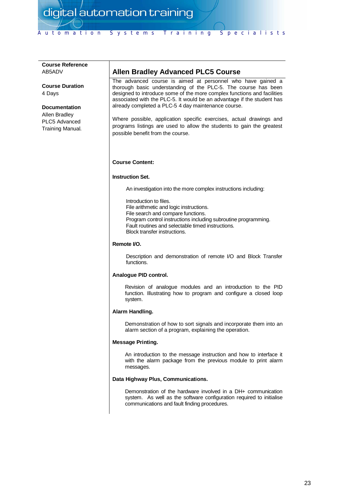# **Course Reference** AB5ADV **Course Duration** 4 Days **Documentation** Allen Bradley PLC5 Advanced Training Manual.

## **Allen Bradley Advanced PLC5 Course**

The advanced course is aimed at personnel who have gained a thorough basic understanding of the PLC-5. The course has been designed to introduce some of the more complex functions and facilities associated with the PLC-5. It would be an advantage if the student has already completed a PLC-5 4 day maintenance course.

Where possible, application specific exercises, actual drawings and programs listings are used to allow the students to gain the greatest possible benefit from the course.

#### **Course Content:**

#### **Instruction Set.**

An investigation into the more complex instructions including:

Introduction to files. File arithmetic and logic instructions. File search and compare functions. Program control instructions including subroutine programming. Fault routines and selectable timed instructions. Block transfer instructions.

#### **Remote I/O.**

Description and demonstration of remote I/O and Block Transfer functions.

#### **Analogue PID control.**

Revision of analogue modules and an introduction to the PID function. Illustrating how to program and configure a closed loop system.

#### **Alarm Handling.**

Demonstration of how to sort signals and incorporate them into an alarm section of a program, explaining the operation.

#### **Message Printing.**

An introduction to the message instruction and how to interface it with the alarm package from the previous module to print alarm messages.

#### **Data Highway Plus, Communications.**

Demonstration of the hardware involved in a DH+ communication system. As well as the software configuration required to initialise communications and fault finding procedures.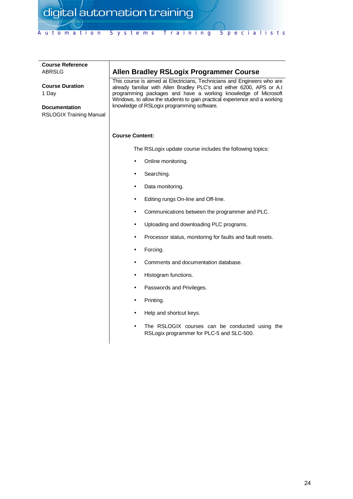| <b>Course Reference</b><br>ABRSLG                                                         | <b>Allen Bradley RSLogix Programmer Course</b>                                                                                                                                                                                                                                                                                                |  |
|-------------------------------------------------------------------------------------------|-----------------------------------------------------------------------------------------------------------------------------------------------------------------------------------------------------------------------------------------------------------------------------------------------------------------------------------------------|--|
| <b>Course Duration</b><br>1 Day<br><b>Documentation</b><br><b>RSLOGIX Training Manual</b> | This course is aimed at Electricians, Technicians and Engineers who are<br>already familiar with Allen Bradley PLC's and either 6200, APS or A.I<br>programming packages and have a working knowledge of Microsoft<br>Windows, to allow the students to gain practical experience and a working<br>knowledge of RSLogix programming software. |  |
|                                                                                           | <b>Course Content:</b>                                                                                                                                                                                                                                                                                                                        |  |
|                                                                                           | The RSLogix update course includes the following topics:                                                                                                                                                                                                                                                                                      |  |
|                                                                                           | Online monitoring.                                                                                                                                                                                                                                                                                                                            |  |
|                                                                                           | Searching.                                                                                                                                                                                                                                                                                                                                    |  |
|                                                                                           | Data monitoring.                                                                                                                                                                                                                                                                                                                              |  |
|                                                                                           | Editing rungs On-line and Off-line.                                                                                                                                                                                                                                                                                                           |  |
|                                                                                           | Communications between the programmer and PLC.                                                                                                                                                                                                                                                                                                |  |
|                                                                                           | Uploading and downloading PLC programs.                                                                                                                                                                                                                                                                                                       |  |
|                                                                                           | Processor status, monitoring for faults and fault resets.<br>$\bullet$                                                                                                                                                                                                                                                                        |  |
|                                                                                           | Forcing.                                                                                                                                                                                                                                                                                                                                      |  |
|                                                                                           | Comments and documentation database.                                                                                                                                                                                                                                                                                                          |  |
|                                                                                           | Histogram functions.<br>٠                                                                                                                                                                                                                                                                                                                     |  |
|                                                                                           | Passwords and Privileges.                                                                                                                                                                                                                                                                                                                     |  |
|                                                                                           | Printing.                                                                                                                                                                                                                                                                                                                                     |  |
|                                                                                           | Help and shortcut keys.                                                                                                                                                                                                                                                                                                                       |  |
|                                                                                           | The RSLOGIX courses can be conducted using the<br>RSLogix programmer for PLC-5 and SLC-500.                                                                                                                                                                                                                                                   |  |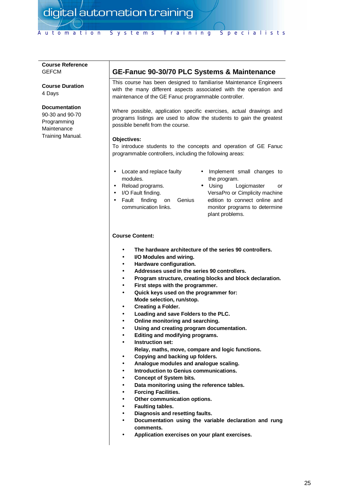#### **Course Reference GEFCM**

**Course Duration** 4 Days

#### **Documentation**

90-30 and 90-70 Programming **Maintenance** Training Manual.

## **GE-Fanuc 90-30/70 PLC Systems & Maintenance**

This course has been designed to familiarise Maintenance Engineers with the many different aspects associated with the operation and maintenance of the GE Fanuc programmable controller.

Where possible, application specific exercises, actual drawings and programs listings are used to allow the students to gain the greatest possible benefit from the course.

#### **Objectives:**

To introduce students to the concepts and operation of GE Fanuc programmable controllers, including the following areas:

- Locate and replace faulty modules.
- Reload programs.
- I/O Fault finding.
- Fault finding on Genius communication links.
- Implement small changes to the program.
- Using Logicmaster or VersaPro or Cimplicity machine edition to connect online and monitor programs to determine plant problems.

- **The hardware architecture of the series 90 controllers.**
- **I/O Modules and wiring.**
- **Hardware configuration.**
- **Addresses used in the series 90 controllers.**
- **Program structure, creating blocks and block declaration.**
- **First steps with the programmer.**
- **Quick keys used on the programmer for: Mode selection, run/stop.**
- **Creating a Folder.**
- **Loading and save Folders to the PLC.**
- **Online monitoring and searching.**
- **Using and creating program documentation.**
- **Editing and modifying programs.**
- **Instruction set:**
	- **Relay, maths, move, compare and logic functions.**
- **Copying and backing up folders.**
- **Analogue modules and analogue scaling.**
- **Introduction to Genius communications.**
- **Concept of System bits.**
- **Data monitoring using the reference tables.**
- **Forcing Facilities.**
- **Other communication options.**
- **Faulting tables.**
- **Diagnosis and resetting faults.**
- **Documentation using the variable declaration and rung comments.**
- **Application exercises on your plant exercises.**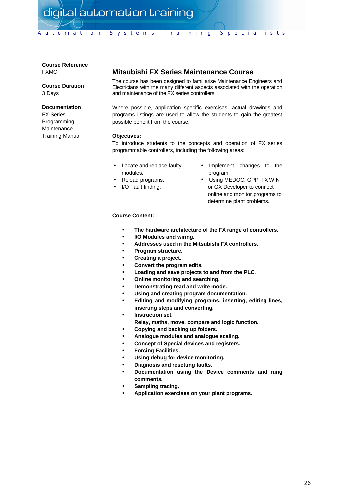#### **Course Reference** FXMC

**Course Duration** 3 Days

#### **Documentation**

FX Series Programming **Maintenance** Training Manual.

## **Mitsubishi FX Series Maintenance Course**

The course has been designed to familiarise Maintenance Engineers and Electricians with the many different aspects associated with the operation and maintenance of the FX series controllers.

Where possible, application specific exercises, actual drawings and programs listings are used to allow the students to gain the greatest possible benefit from the course.

#### **Objectives:**

To introduce students to the concepts and operation of FX series programmable controllers, including the following areas:

- Locate and replace faulty modules.
- Reload programs.
- I/O Fault finding.
- Implement changes to the program.
- Using MEDOC, GPP, FX WIN or GX Developer to connect online and monitor programs to determine plant problems.

- **The hardware architecture of the FX range of controllers.**
- **I/O Modules and wiring.**
- **Addresses used in the Mitsubishi FX controllers.**
- **Program structure.**
- **Creating a project.**
- **Convert the program edits.**
- **Loading and save projects to and from the PLC.**
- **Online monitoring and searching.**
- **Demonstrating read and write mode.**
- **Using and creating program documentation.**
- **Editing and modifying programs, inserting, editing lines, inserting steps and converting.**
- **Instruction set.**
- **Relay, maths, move, compare and logic function.**
- **Copying and backing up folders.**
- **Analogue modules and analogue scaling.**
- **Concept of Special devices and registers.**
- **Forcing Facilities.**
- **Using debug for device monitoring.**
- **Diagnosis and resetting faults.**
- **Documentation using the Device comments and rung comments.**
- **Sampling tracing.**
- **Application exercises on your plant programs.**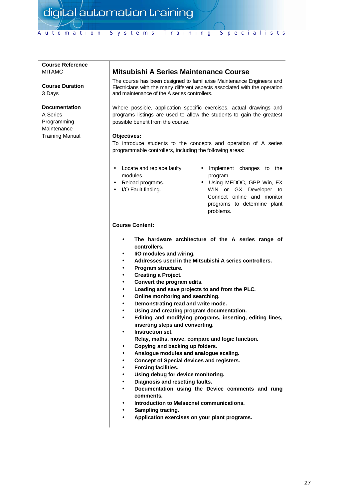#### **Course Reference** MITAMC

**Course Duration** 3 Days

#### **Documentation**

A Series Programming **Maintenance** Training Manual.

## **Mitsubishi A Series Maintenance Course**

The course has been designed to familiarise Maintenance Engineers and Electricians with the many different aspects associated with the operation and maintenance of the A series controllers.

Where possible, application specific exercises, actual drawings and programs listings are used to allow the students to gain the greatest possible benefit from the course.

#### **Objectives:**

To introduce students to the concepts and operation of A series programmable controllers, including the following areas:

- Locate and replace faulty modules.
- Reload programs.
- I/O Fault finding.
- Implement changes to the program.
- Using MEDOC, GPP Win, FX WIN or GX Developer to Connect online and monitor programs to determine plant problems.

- **The hardware architecture of the A series range of controllers.**
- **I/O modules and wiring.**
- **Addresses used in the Mitsubishi A series controllers.**
- **Program structure.**
- **Creating a Project.**
- **Convert the program edits.**
- **Loading and save projects to and from the PLC.**
- **Online monitoring and searching.**
- **Demonstrating read and write mode.**
- **Using and creating program documentation.**
- **Editing and modifying programs, inserting, editing lines, inserting steps and converting.**
- **Instruction set.**
- **Relay, maths, move, compare and logic function.**
- **Copying and backing up folders.**
- **Analogue modules and analogue scaling.**
- **Concept of Special devices and registers.**
- **Forcing facilities.**
- **Using debug for device monitoring.**
- **Diagnosis and resetting faults.**
- **Documentation using the Device comments and rung comments.**
- **Introduction to Melsecnet communications.**
- **Sampling tracing.**
- **Application exercises on your plant programs.**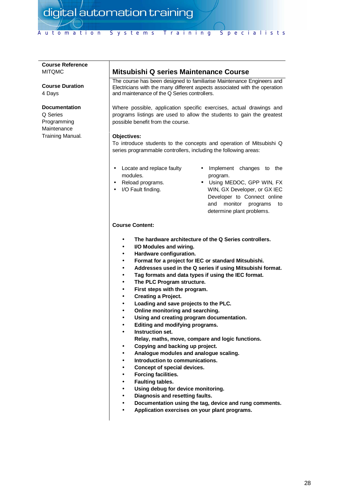#### **Course Reference** MITQMC

**Course Duration** 4 Days

#### **Documentation**

Q Series Programming **Maintenance** Training Manual.

## **Mitsubishi Q series Maintenance Course**

The course has been designed to familiarise Maintenance Engineers and Electricians with the many different aspects associated with the operation and maintenance of the Q Series controllers.

Where possible, application specific exercises, actual drawings and programs listings are used to allow the students to gain the greatest possible benefit from the course.

#### **Objectives:**

To introduce students to the concepts and operation of Mitsubishi Q series programmable controllers, including the following areas:

- Locate and replace faulty modules.
- Reload programs.
- I/O Fault finding.
- Implement changes to the program.
- Using MEDOC, GPP WIN, FX WIN, GX Developer, or GX IEC Developer to Connect online and monitor programs to determine plant problems.

- **The hardware architecture of the Q Series controllers.**
- **I/O Modules and wiring.**
- **Hardware configuration.**
- **Format for a project for IEC or standard Mitsubishi.**
- **Addresses used in the Q series if using Mitsubishi format.**
- **Tag formats and data types if using the IEC format.**
- **The PLC Program structure.**
- **First steps with the program.**
- **Creating a Project.**
- **Loading and save projects to the PLC.**
- **Online monitoring and searching.**
- **Using and creating program documentation.**
- **Editing and modifying programs.**
- **Instruction set.**
	- **Relay, maths, move, compare and logic functions.**
- **Copying and backing up project.**
- **Analogue modules and analogue scaling.**
- **Introduction to communications.**
- **Concept of special devices.**
- **Forcing facilities.**
- **Faulting tables.**
- **Using debug for device monitoring.**
- **Diagnosis and resetting faults.**
- **Documentation using the tag, device and rung comments.**
- **Application exercises on your plant programs.**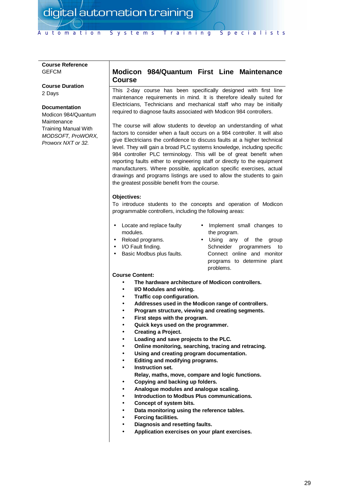#### **Course Reference GEFCM**

**Course Duration** 2 Days

#### **Documentation**

Modicon 984/Quantum Maintenance Training Manual With *MODSOFT, ProWORX, Proworx NXT or 32.*

## **Modicon 984/Quantum First Line Maintenance Course**

This 2-day course has been specifically designed with first line maintenance requirements in mind. It is therefore ideally suited for Electricians, Technicians and mechanical staff who may be initially required to diagnose faults associated with Modicon 984 controllers.

The course will allow students to develop an understanding of what factors to consider when a fault occurs on a 984 controller. It will also give Electricians the confidence to discuss faults at a higher technical level. They will gain a broad PLC systems knowledge, including specific 984 controller PLC terminology. This will be of great benefit when reporting faults either to engineering staff or directly to the equipment manufacturers. Where possible, application specific exercises, actual drawings and programs listings are used to allow the students to gain the greatest possible benefit from the course.

#### **Objectives:**

To introduce students to the concepts and operation of Modicon programmable controllers, including the following areas:

- Locate and replace faulty modules.
- Implement small changes to the program.
- Reload programs.
- I/O Fault finding.
- Basic Modbus plus faults.
- Using any of the group Schneider programmers to Connect online and monitor programs to determine plant problems.

- **The hardware architecture of Modicon controllers.**
- **I/O Modules and wiring.**
- **Traffic cop configuration.**
- **Addresses used in the Modicon range of controllers.**
- **Program structure, viewing and creating segments.**
- **First steps with the program.**
- **Quick keys used on the programmer.**
- **Creating a Project.**
- **Loading and save projects to the PLC.**
- **Online monitoring, searching, tracing and retracing.**
- **Using and creating program documentation.**
- **Editing and modifying programs.**
- **Instruction set.**
	- **Relay, maths, move, compare and logic functions.**
- **Copying and backing up folders.**
- **Analogue modules and analogue scaling.**
- **Introduction to Modbus Plus communications.**
- **Concept of system bits.**
- **Data monitoring using the reference tables.**
- **Forcing facilities.**
- **Diagnosis and resetting faults.**
- **Application exercises on your plant exercises.**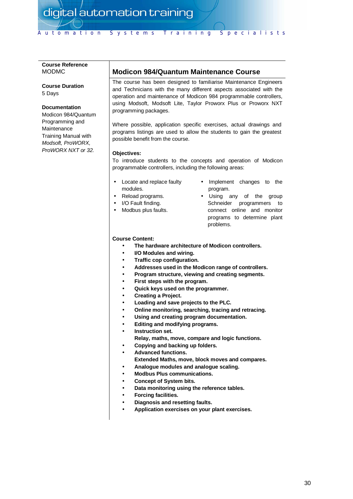#### **Course Reference** MODMC

#### **Course Duration** 5 Days

#### **Documentation**

Modicon 984/Quantum Programming and Maintenance Training Manual with *Modsoft, ProWORX, ProWORX NXT or 32.*

## **Modicon 984/Quantum Maintenance Course**

The course has been designed to familiarise Maintenance Engineers and Technicians with the many different aspects associated with the operation and maintenance of Modicon 984 programmable controllers, using Modsoft, Modsoft Lite, Taylor Proworx Plus or Proworx NXT programming packages.

Where possible, application specific exercises, actual drawings and programs listings are used to allow the students to gain the greatest possible benefit from the course.

#### **Objectives:**

To introduce students to the concepts and operation of Modicon programmable controllers, including the following areas:

- Locate and replace faulty modules.
- Reload programs.
- I/O Fault finding.
- Modbus plus faults.
- Implement changes to the program.
- Using any of the group Schneider programmers to connect online and monitor programs to determine plant problems.

- **The hardware architecture of Modicon controllers.**
- **I/O Modules and wiring.**
- **Traffic cop configuration.**
- **Addresses used in the Modicon range of controllers.**
- **Program structure, viewing and creating segments.**
- **First steps with the program.**
- **Quick keys used on the programmer.**
- **Creating a Project.**
- **Loading and save projects to the PLC.**
- **Online monitoring, searching, tracing and retracing.**
- **Using and creating program documentation.**
- **Editing and modifying programs.**
- **Instruction set.**
	- **Relay, maths, move, compare and logic functions.**
- **Copying and backing up folders.**
- **Advanced functions.**
- **Extended Maths, move, block moves and compares.**
- **Analogue modules and analogue scaling.**
- **Modbus Plus communications.**
- **Concept of System bits.**
- **Data monitoring using the reference tables.**
- **Forcing facilities.**
- **Diagnosis and resetting faults.**
- **Application exercises on your plant exercises.**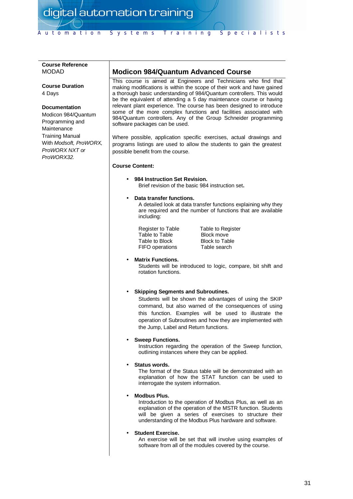#### **Course Reference** MODAD

**Course Duration** 4 Days

#### **Documentation**

Modicon 984/Quantum Programming and Maintenance Training Manual With *Modsoft, ProWORX, ProWORX NXT or ProWORX32.*

## **Modicon 984/Quantum Advanced Course**

This course is aimed at Engineers and Technicians who find that making modifications is within the scope of their work and have gained a thorough basic understanding of 984/Quantum controllers. This would be the equivalent of attending a 5 day maintenance course or having relevant plant experience. The course has been designed to introduce some of the more complex functions and facilities associated with 984/Quantum controllers. Any of the Group Schneider programming software packages can be used.

Where possible, application specific exercises, actual drawings and programs listings are used to allow the students to gain the greatest possible benefit from the course.

#### **Course Content:**

• **984 Instruction Set Revision.** Brief revision of the basic 984 instruction set**.**

#### • **Data transfer functions.**

A detailed look at data transfer functions explaining why they are required and the number of functions that are available including:

Register to Table Table to Register Table to Table Block move Table to Block Block to Table<br>FIFO operations Table search FIFO operations

#### • **Matrix Functions.**

Students will be introduced to logic, compare, bit shift and rotation functions.

#### • **Skipping Segments and Subroutines.**

Students will be shown the advantages of using the SKIP command, but also warned of the consequences of using this function. Examples will be used to illustrate the operation of Subroutines and how they are implemented with the Jump, Label and Return functions.

#### • **Sweep Functions.**

Instruction regarding the operation of the Sweep function, outlining instances where they can be applied.

#### • **Status words.**

The format of the Status table will be demonstrated with an explanation of how the STAT function can be used to interrogate the system information.

#### • **Modbus Plus.**

Introduction to the operation of Modbus Plus, as well as an explanation of the operation of the MSTR function. Students will be given a series of exercises to structure their understanding of the Modbus Plus hardware and software.

#### • **Student Exercise.**

An exercise will be set that will involve using examples of software from all of the modules covered by the course.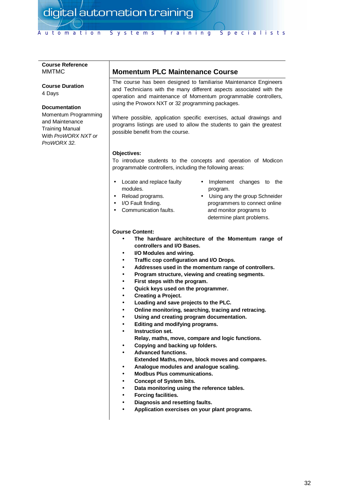#### **Course Reference** MMTMC

**Course Duration** 4 Days

#### **Documentation**

Momentum Programming and Maintenance Training Manual With *ProWORX NXT or ProWORX 32.*

## **Momentum PLC Maintenance Course**

The course has been designed to familiarise Maintenance Engineers and Technicians with the many different aspects associated with the operation and maintenance of Momentum programmable controllers, using the Proworx NXT or 32 programming packages.

Where possible, application specific exercises, actual drawings and programs listings are used to allow the students to gain the greatest possible benefit from the course.

#### **Objectives:**

To introduce students to the concepts and operation of Modicon programmable controllers, including the following areas:

- Locate and replace faulty modules.
- Reload programs.
- I/O Fault finding.
- Communication faults.
- Implement changes to the program.
- Using any the group Schneider programmers to connect online and monitor programs to determine plant problems.

- **The hardware architecture of the Momentum range of controllers and I/O Bases.**
- **I/O Modules and wiring.**
- **Traffic cop configuration and I/O Drops.**
- **Addresses used in the momentum range of controllers.**
- **Program structure, viewing and creating segments.**
- **First steps with the program.**
- **Quick keys used on the programmer.**
- **Creating a Project.**
- **Loading and save projects to the PLC.**
- **Online monitoring, searching, tracing and retracing.**
- **Using and creating program documentation.**
- **Editing and modifying programs.**
- **Instruction set.**
	- **Relay, maths, move, compare and logic functions.**
- **Copying and backing up folders.**
- **Advanced functions.**
- **Extended Maths, move, block moves and compares.**
- **Analogue modules and analogue scaling.**
- **Modbus Plus communications.**
- **Concept of System bits.**
- **Data monitoring using the reference tables.**
- **Forcing facilities.**
- **Diagnosis and resetting faults.**
- **Application exercises on your plant programs.**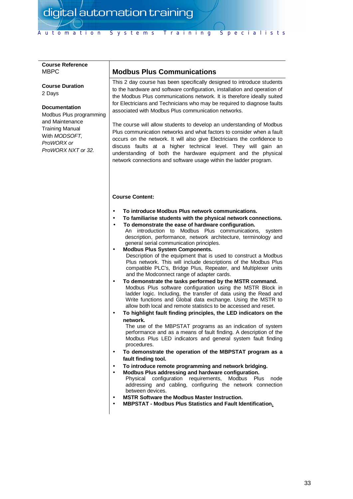#### **Course Reference** MBPC

**Course Duration** 2 Days

#### **Documentation**

Modbus Plus programming and Maintenance Training Manual With *MODSOFT, ProWORX or ProWORX NXT or 32.*

## **Modbus Plus Communications**

This 2 day course has been specifically designed to introduce students to the hardware and software configuration, installation and operation of the Modbus Plus communications network. It is therefore ideally suited for Electricians and Technicians who may be required to diagnose faults associated with Modbus Plus communication networks.

The course will allow students to develop an understanding of Modbus Plus communication networks and what factors to consider when a fault occurs on the network. It will also give Electricians the confidence to discuss faults at a higher technical level. They will gain an understanding of both the hardware equipment and the physical network connections and software usage within the ladder program.

#### **Course Content:**

- **To introduce Modbus Plus network communications.**
- **To familiarise students with the physical network connections.**
- **To demonstrate the ease of hardware configuration.**

An introduction to Modbus Plus communications, system description, performance, network architecture, terminology and general serial communication principles.

- **Modbus Plus System Components.** Description of the equipment that is used to construct a Modbus Plus network. This will include descriptions of the Modbus Plus compatible PLC's, Bridge Plus, Repeater, and Multiplexer units and the Modconnect range of adapter cards.
- **To demonstrate the tasks performed by the MSTR command.** Modbus Plus software configuration using the MSTR Block in ladder logic. Including, the transfer of data using the Read and Write functions and Global data exchange. Using the MSTR to allow both local and remote statistics to be accessed and reset.
- **To highlight fault finding principles, the LED indicators on the network.**

The use of the MBPSTAT programs as an indication of system performance and as a means of fault finding. A description of the Modbus Plus LED indicators and general system fault finding procedures.

- **To demonstrate the operation of the MBPSTAT program as a fault finding tool.**
- **To introduce remote programming and network bridging.**
- **Modbus Plus addressing and hardware configuration.** Physical configuration requirements, Modbus Plus node addressing and cabling, configuring the network connection between devices.
- **MSTR Software the Modbus Master Instruction.**
- **MBPSTAT Modbus Plus Statistics and Fault Identification.**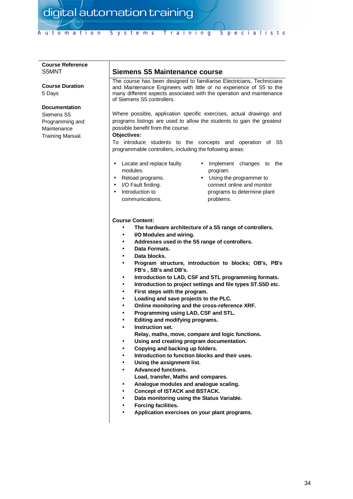#### **Course Reference** S5MNT

**Course Duration** 5 Days

#### **Documentation**

Siemens S5 Programming and **Maintenance** Training Manual.

## **Siemens S5 Maintenance course**

The course has been designed to familiarise Electricians, Technicians and Maintenance Engineers with little or no experience of S5 to the many different aspects associated with the operation and maintenance of Siemens S5 controllers.

Where possible, application specific exercises, actual drawings and programs listings are used to allow the students to gain the greatest possible benefit from the course.

#### **Objectives:**

To introduce students to the concepts and operation of S5 programmable controllers, including the following areas:

program.

Implement changes to the

Using the programmer to connect online and monitor

- Locate and replace faulty modules.
- Reload programs.
- I/O Fault finding.
	- Introduction to communications. programs to determine plant problems.

- **The hardware architecture of a S5 range of controllers.**
- **I/O Modules and wiring.**
- **Addresses used in the S5 range of controllers.**
- **Data Formats.**
- **Data blocks.**
- **Program structure, introduction to blocks; OB's, PB's FB's , SB's and DB's.**
- **Introduction to LAD, CSF and STL programming formats.**
- **Introduction to project settings and file types ST.S5D etc.**
- **First steps with the program.**
- **Loading and save projects to the PLC.**
- **Online monitoring and the cross-reference XRF.**
- **Programming using LAD, CSF and STL.**
- **Editing and modifying programs.**
- **Instruction set.**
- **Relay, maths, move, compare and logic functions.**
- **Using and creating program documentation.**
- **Copying and backing up folders.**
- **Introduction to function blocks and their uses.**
- **Using the assignment list.**
- **Advanced functions.**
- **Load, transfer, Maths and compares.**
- **Analogue modules and analogue scaling.**
- **Concept of ISTACK and BSTACK.**
- **Data monitoring using the Status Variable.**
- **Forcing facilities.**
- **Application exercises on your plant programs.**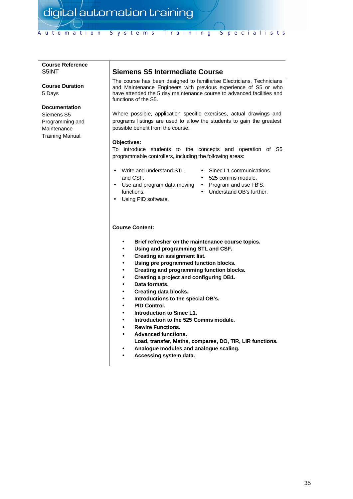#### **Course Reference** S5INT

**Course Duration** 5 Days

#### **Documentation**

Siemens S5 Programming and **Maintenance** Training Manual.

## **Siemens S5 Intermediate Course**

The course has been designed to familiarise Electricians, Technicians and Maintenance Engineers with previous experience of S5 or who have attended the 5 day maintenance course to advanced facilities and functions of the S5.

Where possible, application specific exercises, actual drawings and programs listings are used to allow the students to gain the greatest possible benefit from the course.

#### **Objectives:**

To introduce students to the concepts and operation of S5 programmable controllers, including the following areas:

- Write and understand STL and CSF. • Use and program data moving •
	- Sinec L1 communications.
	- 525 comms module.
	- Program and use FB'S.
	- Understand OB's further.
- Using PID software.

#### **Course Content:**

functions.

- **Brief refresher on the maintenance course topics.**
- **Using and programming STL and CSF.**
- **Creating an assignment list.**
- **Using pre programmed function blocks.**
- **Creating and programming function blocks.**
- **Creating a project and configuring DB1.**
- **Data formats.**
- **Creating data blocks.**
- **Introductions to the special OB's.**
- **PID Control.**
- **Introduction to Sinec L1.**
- **Introduction to the 525 Comms module.**
- **Rewire Functions.**
- **Advanced functions.**
- **Load, transfer, Maths, compares, DO, TIR, LIR functions.**
- **Analogue modules and analogue scaling.**
- **Accessing system data.**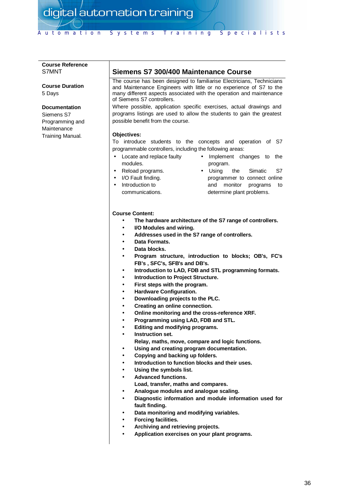#### **Course Reference** S7MNT

**Course Duration** 5 Days

#### **Documentation**

Siemens S7 Programming and Maintenance Training Manual.

## **Siemens S7 300/400 Maintenance Course**

The course has been designed to familiarise Electricians, Technicians and Maintenance Engineers with little or no experience of S7 to the many different aspects associated with the operation and maintenance of Siemens S7 controllers.

Where possible, application specific exercises, actual drawings and programs listings are used to allow the students to gain the greatest possible benefit from the course.

#### **Objectives:**

To introduce students to the concepts and operation of S7 programmable controllers, including the following areas:

- Locate and replace faulty modules.
- Implement changes to the program.
- Reload programs.
- I/O Fault finding.
	- Introduction to communications.
- Using the Simatic S7 programmer to connect online and monitor programs to determine plant problems.

- **The hardware architecture of the S7 range of controllers.**
- **I/O Modules and wiring.**
- **Addresses used in the S7 range of controllers.**
- **Data Formats.**
- **Data blocks.**
- **Program structure, introduction to blocks; OB's, FC's FB's , SFC's, SFB's and DB's.**
- **Introduction to LAD, FDB and STL programming formats.**
- **Introduction to Project Structure.**
- **First steps with the program.**
- **Hardware Configuration.**
- **Downloading projects to the PLC.**
- **Creating an online connection.**
- **Online monitoring and the cross-reference XRF.**
- **Programming using LAD, FDB and STL.**
- **Editing and modifying programs.**
- **Instruction set.**
	- **Relay, maths, move, compare and logic functions.**
- **Using and creating program documentation.**
- **Copying and backing up folders.**
- **Introduction to function blocks and their uses.**
- **Using the symbols list.**
- **Advanced functions.**
- **Load, transfer, maths and compares.**
- **Analogue modules and analogue scaling.**
- **Diagnostic information and module information used for fault finding.**
- **Data monitoring and modifying variables.**
- **Forcing facilities.**
- **Archiving and retrieving projects.**
- **Application exercises on your plant programs.**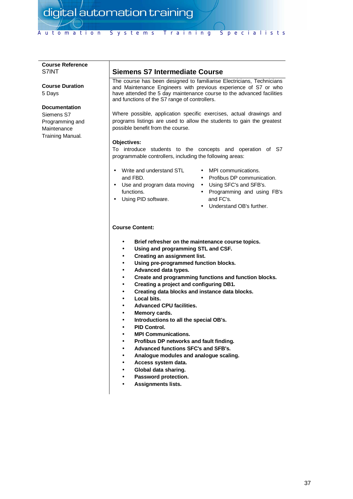#### **Course Reference** S7INT

**Course Duration** 5 Days

#### **Documentation**

Siemens S7 Programming and **Maintenance** Training Manual.

## **Siemens S7 Intermediate Course**

The course has been designed to familiarise Electricians, Technicians and Maintenance Engineers with previous experience of S7 or who have attended the 5 day maintenance course to the advanced facilities and functions of the S7 range of controllers.

Where possible, application specific exercises, actual drawings and programs listings are used to allow the students to gain the greatest possible benefit from the course.

#### **Objectives:**

To introduce students to the concepts and operation of S7 programmable controllers, including the following areas:

- Write and understand STL and FBD. • Use and program data moving •
- MPI communications.
	- Profibus DP communication.
	- Using SFC's and SFB's.
	- Programming and using FB's and FC's.
	- Understand OB's further.

#### **Course Content:**

functions. • Using PID software.

- **Brief refresher on the maintenance course topics.**
- **Using and programming STL and CSF.**
- **Creating an assignment list.**
- **Using pre-programmed function blocks.**
- **Advanced data types.**
- **Create and programming functions and function blocks.**
- **Creating a project and configuring DB1.**
- **Creating data blocks and instance data blocks.**
- **Local bits.**
- **Advanced CPU facilities.**
- **Memory cards.**
- **Introductions to all the special OB's.**
- **PID Control.**
- **MPI Communications.**
- **Profibus DP networks and fault finding.**
- **Advanced functions SFC's and SFB's.**
- **Analogue modules and analogue scaling.**
- **Access system data.**
- **Global data sharing.**
- **Password protection.**
- **Assignments lists.**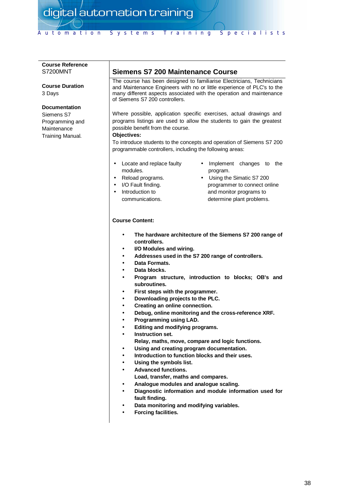#### **Course Reference** S7200MNT

**Course Duration** 3 Days

#### **Documentation**

Siemens S7 Programming and **Maintenance** Training Manual.

## **Siemens S7 200 Maintenance Course**

The course has been designed to familiarise Electricians, Technicians and Maintenance Engineers with no or little experience of PLC's to the many different aspects associated with the operation and maintenance of Siemens S7 200 controllers.

Where possible, application specific exercises, actual drawings and programs listings are used to allow the students to gain the greatest possible benefit from the course.

#### **Objectives:**

To introduce students to the concepts and operation of Siemens S7 200 programmable controllers, including the following areas:

- Locate and replace faulty modules.
- Reload programs.
- I/O Fault finding.
- Introduction to communications.
- Implement changes to the program.
- Using the Simatic S7 200 programmer to connect online and monitor programs to determine plant problems.

- **The hardware architecture of the Siemens S7 200 range of controllers.**
- **I/O Modules and wiring.**
- **Addresses used in the S7 200 range of controllers.**
- **Data Formats.**
- **Data blocks.**
- **Program structure, introduction to blocks; OB's and subroutines.**
- **First steps with the programmer.**
- **Downloading projects to the PLC.**
- **Creating an online connection.**
- **Debug, online monitoring and the cross-reference XRF.**
- **Programming using LAD.**
- **Editing and modifying programs.**
- **Instruction set.**
	- **Relay, maths, move, compare and logic functions.**
- **Using and creating program documentation.**
- **Introduction to function blocks and their uses.**
- **Using the symbols list.**
- **Advanced functions.**
- **Load, transfer, maths and compares.**
- **Analogue modules and analogue scaling.**
- **Diagnostic information and module information used for fault finding.**
- **Data monitoring and modifying variables.**
- **Forcing facilities.**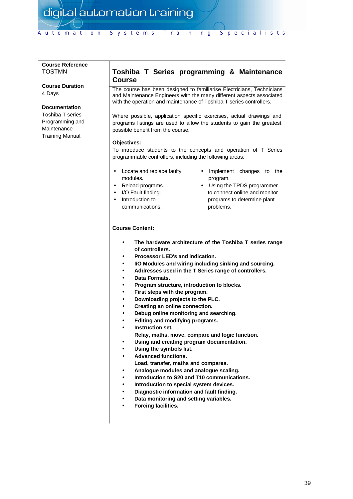#### **Course Reference** TOSTMN

**Course Duration** 4 Days

#### **Documentation**

Toshiba T series Programming and **Maintenance** Training Manual.

## **Toshiba T Series programming & Maintenance Course**

The course has been designed to familiarise Electricians, Technicians and Maintenance Engineers with the many different aspects associated with the operation and maintenance of Toshiba T series controllers.

Where possible, application specific exercises, actual drawings and programs listings are used to allow the students to gain the greatest possible benefit from the course.

#### **Objectives:**

To introduce students to the concepts and operation of T Series programmable controllers, including the following areas:

- Locate and replace faulty modules.
- Reload programs.
- I/O Fault finding.
- Introduction to communications.
- Implement changes to the program.
- Using the TPDS programmer to connect online and monitor programs to determine plant problems.

- **The hardware architecture of the Toshiba T series range of controllers.**
- **Processor LED's and indication.**
- **I/O Modules and wiring including sinking and sourcing.**
- **Addresses used in the T Series range of controllers.**
- **Data Formats.**
- **Program structure, introduction to blocks.**
- **First steps with the program.**
- **Downloading projects to the PLC.**
- **Creating an online connection.**
- **Debug online monitoring and searching.**
- **Editing and modifying programs.**
- **Instruction set.**
- **Relay, maths, move, compare and logic function.**
- **Using and creating program documentation.**
- **Using the symbols list.**
- **Advanced functions.**
- **Load, transfer, maths and compares.**
- **Analogue modules and analogue scaling.**
- **Introduction to S20 and T10 communications.**
- **Introduction to special system devices.**
- **Diagnostic information and fault finding.**
- **Data monitoring and setting variables.**
- **Forcing facilities.**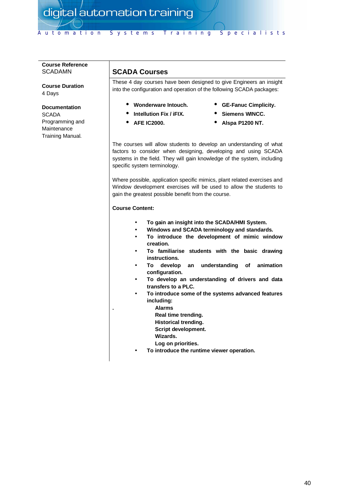#### **Course Reference** SCADAMN

**Course Duration** 4 Days

#### **Documentation**

**SCADA** Programming and Maintenance Training Manual.

## **SCADA Courses**

These 4 day courses have been designed to give Engineers an insight into the configuration and operation of the following SCADA packages:

- **Wonderware Intouch. Intellution Fix / iFIX.**
- **GE-Fanuc Cimplicity.**
	- **Siemens WINCC.**
- **AFE IC2000.**

**Alspa P1200 NT.**

The courses will allow students to develop an understanding of what factors to consider when designing, developing and using SCADA systems in the field. They will gain knowledge of the system, including specific system terminology.

Where possible, application specific mimics, plant related exercises and Window development exercises will be used to allow the students to gain the greatest possible benefit from the course.

- **To gain an insight into the SCADA/HMI System.**
- **Windows and SCADA terminology and standards.**
- **To introduce the development of mimic window creation.**
- **To familiarise students with the basic drawing instructions.**
- **To develop an understanding of animation configuration.**
- **To develop an understanding of drivers and data transfers to a PLC.**
- **To introduce some of the systems advanced features including:**
	- **. Alarms**
		- **Real time trending.**
		- **Historical trending.**
		- **Script development.**
		- **Wizards.**
		- **Log on priorities.**
	- **To introduce the runtime viewer operation.**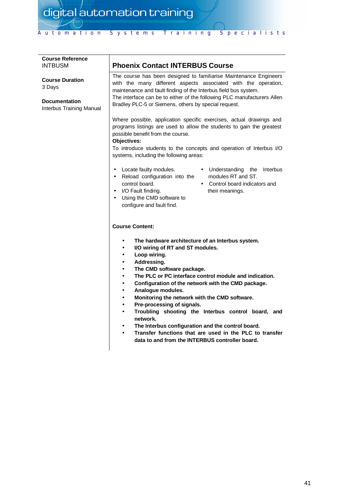# Automation Systems Training Specialists

| <b>Course Reference</b><br><b>INTBUSM</b>                                            | <b>Phoenix Contact INTERBUS Course</b>                                                                                                                                                                                                                                                                                                                                                                                                                                                                                                                                                                                                                                                                           |
|--------------------------------------------------------------------------------------|------------------------------------------------------------------------------------------------------------------------------------------------------------------------------------------------------------------------------------------------------------------------------------------------------------------------------------------------------------------------------------------------------------------------------------------------------------------------------------------------------------------------------------------------------------------------------------------------------------------------------------------------------------------------------------------------------------------|
| <b>Course Duration</b><br>3 Days<br><b>Documentation</b><br>Interbus Training Manual | The course has been designed to familiarise Maintenance Engineers<br>with the many different aspects associated with the operation,<br>maintenance and fault finding of the Interbus field bus system.<br>The interface can be to either of the following PLC manufacturers Allen<br>Bradley PLC-5 or Siemens, others by special request.                                                                                                                                                                                                                                                                                                                                                                        |
|                                                                                      | Where possible, application specific exercises, actual drawings and<br>programs listings are used to allow the students to gain the greatest<br>possible benefit from the course.<br>Objectives:<br>To introduce students to the concepts and operation of Interbus I/O<br>systems, including the following areas:                                                                                                                                                                                                                                                                                                                                                                                               |
|                                                                                      | Locate faulty modules.<br>• Understanding<br>the<br>Interbus<br>modules RT and ST.<br>Reload configuration into the<br>$\bullet$<br>control board.<br>Control board indicators and<br>$\bullet$<br>I/O Fault finding.<br>their meanings.<br>$\bullet$<br>Using the CMD software to<br>$\bullet$<br>configure and fault find.                                                                                                                                                                                                                                                                                                                                                                                     |
|                                                                                      | <b>Course Content:</b>                                                                                                                                                                                                                                                                                                                                                                                                                                                                                                                                                                                                                                                                                           |
|                                                                                      | The hardware architecture of an Interbus system.<br>$\bullet$<br>I/O wiring of RT and ST modules.<br>٠<br>Loop wiring.<br>٠<br>Addressing.<br>$\bullet$<br>The CMD software package.<br>٠<br>The PLC or PC interface control module and indication.<br>٠<br>Configuration of the network with the CMD package.<br>$\bullet$<br>Analogue modules.<br>$\bullet$<br>Monitoring the network with the CMD software.<br>$\bullet$<br>Pre-processing of signals.<br>٠<br>Troubling shooting the Interbus control board, and<br>$\bullet$<br>network.<br>The Interbus configuration and the control board.<br>Transfer functions that are used in the PLC to transfer<br>data to and from the INTERBUS controller board. |
|                                                                                      |                                                                                                                                                                                                                                                                                                                                                                                                                                                                                                                                                                                                                                                                                                                  |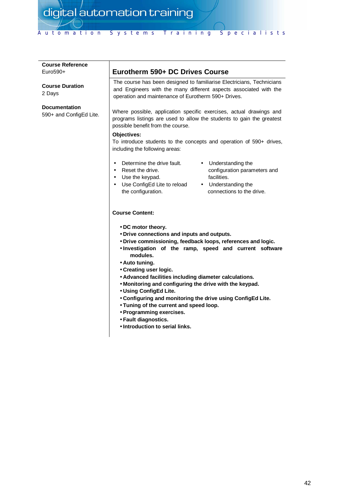| <b>Course Reference</b><br>$Euro590+$           | Eurotherm 590+ DC Drives Course                                                                                                                                                                                                                                                                                                                                                                                                                                                                                                                                                                      |
|-------------------------------------------------|------------------------------------------------------------------------------------------------------------------------------------------------------------------------------------------------------------------------------------------------------------------------------------------------------------------------------------------------------------------------------------------------------------------------------------------------------------------------------------------------------------------------------------------------------------------------------------------------------|
| <b>Course Duration</b><br>2 Days                | The course has been designed to familiarise Electricians, Technicians<br>and Engineers with the many different aspects associated with the<br>operation and maintenance of Eurotherm 590+ Drives.                                                                                                                                                                                                                                                                                                                                                                                                    |
| <b>Documentation</b><br>590+ and ConfigEd Lite. | Where possible, application specific exercises, actual drawings and<br>programs listings are used to allow the students to gain the greatest<br>possible benefit from the course.<br>Objectives:<br>To introduce students to the concepts and operation of 590+ drives,                                                                                                                                                                                                                                                                                                                              |
|                                                 | including the following areas:                                                                                                                                                                                                                                                                                                                                                                                                                                                                                                                                                                       |
|                                                 | Determine the drive fault.<br>• Understanding the<br>Reset the drive.<br>configuration parameters and<br>$\bullet$<br>facilities.<br>• Use the keypad.<br>Use ConfigEd Lite to reload<br>• Understanding the<br>the configuration.<br>connections to the drive.                                                                                                                                                                                                                                                                                                                                      |
|                                                 | <b>Course Content:</b>                                                                                                                                                                                                                                                                                                                                                                                                                                                                                                                                                                               |
|                                                 | • DC motor theory.<br>. Drive connections and inputs and outputs.<br>. Drive commissioning, feedback loops, references and logic.<br>. Investigation of the ramp, speed and current software<br>modules.<br>• Auto tuning.<br>• Creating user logic.<br>• Advanced facilities including diameter calculations.<br>. Monitoring and configuring the drive with the keypad.<br>• Using ConfigEd Lite.<br>. Configuring and monitoring the drive using ConfigEd Lite.<br>• Tuning of the current and speed loop.<br>• Programming exercises.<br>· Fault diagnostics.<br>• Introduction to serial links. |
|                                                 |                                                                                                                                                                                                                                                                                                                                                                                                                                                                                                                                                                                                      |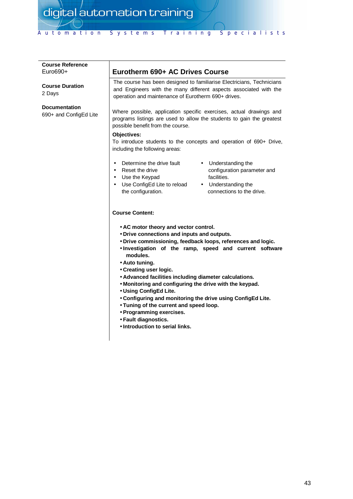| <b>Course Reference</b><br>Euro690+            | Eurotherm 690+ AC Drives Course                                                                                                                                                                                                                                                                                                                                                                                                                                                                                                                                                                                         |
|------------------------------------------------|-------------------------------------------------------------------------------------------------------------------------------------------------------------------------------------------------------------------------------------------------------------------------------------------------------------------------------------------------------------------------------------------------------------------------------------------------------------------------------------------------------------------------------------------------------------------------------------------------------------------------|
| <b>Course Duration</b><br>2 Days               | The course has been designed to familiarise Electricians, Technicians<br>and Engineers with the many different aspects associated with the<br>operation and maintenance of Eurotherm 690+ drives.                                                                                                                                                                                                                                                                                                                                                                                                                       |
| <b>Documentation</b><br>690+ and ConfigEd Lite | Where possible, application specific exercises, actual drawings and<br>programs listings are used to allow the students to gain the greatest<br>possible benefit from the course.<br><b>Objectives:</b><br>To introduce students to the concepts and operation of 690+ Drive,                                                                                                                                                                                                                                                                                                                                           |
|                                                | including the following areas:                                                                                                                                                                                                                                                                                                                                                                                                                                                                                                                                                                                          |
|                                                | Determine the drive fault<br>• Understanding the<br>Reset the drive<br>configuration parameter and<br>$\bullet$<br>facilities.<br>• Use the Keypad<br>Use ConfigEd Lite to reload<br>• Understanding the<br>$\bullet$<br>the configuration.<br>connections to the drive.                                                                                                                                                                                                                                                                                                                                                |
|                                                | <b>Course Content:</b>                                                                                                                                                                                                                                                                                                                                                                                                                                                                                                                                                                                                  |
|                                                | • AC motor theory and vector control.<br>• Drive connections and inputs and outputs.<br>. Drive commissioning, feedback loops, references and logic.<br>. Investigation of the ramp, speed and current software<br>modules.<br>• Auto tuning.<br>• Creating user logic.<br>• Advanced facilities including diameter calculations.<br>. Monitoring and configuring the drive with the keypad.<br>• Using ConfigEd Lite.<br>. Configuring and monitoring the drive using ConfigEd Lite.<br>• Tuning of the current and speed loop.<br>• Programming exercises.<br>∙ Fault diagnostics.<br>• Introduction to serial links. |
|                                                |                                                                                                                                                                                                                                                                                                                                                                                                                                                                                                                                                                                                                         |
|                                                |                                                                                                                                                                                                                                                                                                                                                                                                                                                                                                                                                                                                                         |
|                                                |                                                                                                                                                                                                                                                                                                                                                                                                                                                                                                                                                                                                                         |